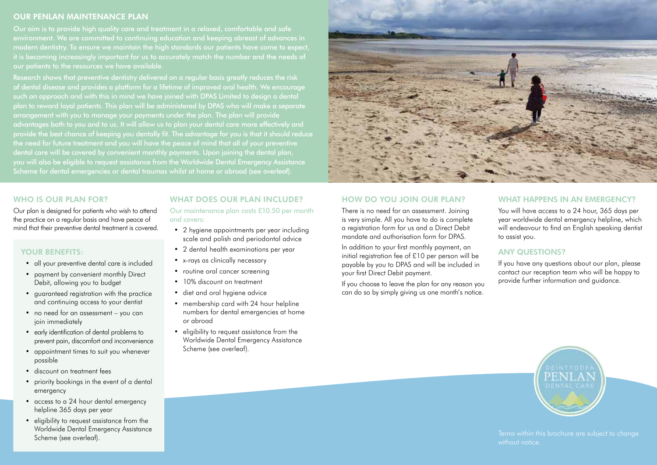## OUR PENLAN MAINTENANCE PLAN

Our aim is to provide high quality care and treatment in a relaxed, comfortable and safe environment. We are committed to continuing education and keeping abreast of advances in modern dentistry. To ensure we maintain the high standards our patients have come to expect, it is becoming increasingly important for us to accurately match the number and the needs of our patients to the resources we have available.

Research shows that preventive dentistry delivered on a regular basis greatly reduces the risk of dental disease and provides a platform for a lifetime of improved oral health. We encourage such an approach and with this in mind we have joined with DPAS Limited to design a dental plan to reward loyal patients. This plan will be administered by DPAS who will make a separate arrangement with you to manage your payments under the plan. The plan will provide advantages both to you and to us. It will allow us to plan your dental care more effectively and provide the best chance of keeping you dentally fit. The advantage for you is that it should reduce the need for future treatment and you will have the peace of mind that all of your preventive dental care will be covered by convenient monthly payments. Upon joining the dental plan, you will also be eligible to request assistance from the Worldwide Dental Emergency Assistance Scheme for dental emergencies or dental traumas whilst at home or abroad (see overleaf).



## WHO IS OUR PLAN FOR?

Our plan is designed for patients who wish to attend the practice on a regular basis and have peace of mind that their preventive dental treatment is covered.

## YOUR BENEFITS:

- all your preventive dental care is included
- payment by convenient monthly Direct Debit, allowing you to budget
- guaranteed registration with the practice and continuing access to your dentist
- no need for an assessment you can join immediately
- early identification of dental problems to prevent pain, discomfort and inconvenience
- appointment times to suit you whenever possible
- discount on treatment fees
- priority bookings in the event of a dental emergency
- access to a 24 hour dental emergency helpline 365 days per year
- eligibility to request assistance from the Worldwide Dental Emergency Assistance Scheme (see overleaf).

## WHAT DOES OUR PLAN INCLUDE?

Our maintenance plan costs £10.50 per month and covers:

- 2 hygiene appointments per year including scale and polish and periodontal advice
- 2 dental health examinations per year
- x-rays as clinically necessary
- routine oral cancer screening
- 10% discount on treatment
- diet and oral hygiene advice
- membership card with 24 hour helpline numbers for dental emergencies at home or abroad
- eligibility to request assistance from the Worldwide Dental Emergency Assistance Scheme (see overleaf).

## HOW DO YOU JOIN OUR PLAN?

There is no need for an assessment. Joining is very simple. All you have to do is complete a registration form for us and a Direct Debit mandate and authorisation form for DPAS.

In addition to your first monthly payment, an initial registration fee of £10 per person will be payable by you to DPAS and will be included in your first Direct Debit payment.

If you choose to leave the plan for any reason you can do so by simply giving us one month's notice.

#### WHAT HAPPENS IN AN EMERGENCY?

You will have access to a 24 hour, 365 days per year worldwide dental emergency helpline, which will endeavour to find an English speaking dentist to assist you.

## ANY QUESTIONS?

If you have any questions about our plan, please contact our reception team who will be happy to provide further information and guidance.